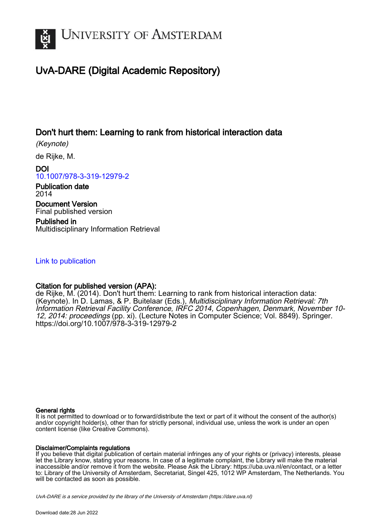

# UvA-DARE (Digital Academic Repository)

## Don't hurt them: Learning to rank from historical interaction data

(Keynote)

de Rijke, M.

DOI [10.1007/978-3-319-12979-2](https://doi.org/10.1007/978-3-319-12979-2)

Publication date 2014

Document Version Final published version

Published in Multidisciplinary Information Retrieval

### [Link to publication](https://dare.uva.nl/personal/pure/en/publications/dont-hurt-them-learning-to-rank-from-historical-interaction-data(8551bf04-c0c6-4060-9250-b69bb9a04613).html)

### Citation for published version (APA):

de Rijke, M. (2014). Don't hurt them: Learning to rank from historical interaction data: (Keynote). In D. Lamas, & P. Buitelaar (Eds.), Multidisciplinary Information Retrieval: 7th Information Retrieval Facility Conference, IRFC 2014, Copenhagen, Denmark, November 10- 12, 2014: proceedings (pp. xi). (Lecture Notes in Computer Science; Vol. 8849). Springer. <https://doi.org/10.1007/978-3-319-12979-2>

#### General rights

It is not permitted to download or to forward/distribute the text or part of it without the consent of the author(s) and/or copyright holder(s), other than for strictly personal, individual use, unless the work is under an open content license (like Creative Commons).

#### Disclaimer/Complaints regulations

If you believe that digital publication of certain material infringes any of your rights or (privacy) interests, please let the Library know, stating your reasons. In case of a legitimate complaint, the Library will make the material inaccessible and/or remove it from the website. Please Ask the Library: https://uba.uva.nl/en/contact, or a letter to: Library of the University of Amsterdam, Secretariat, Singel 425, 1012 WP Amsterdam, The Netherlands. You will be contacted as soon as possible.

UvA-DARE is a service provided by the library of the University of Amsterdam (http*s*://dare.uva.nl)